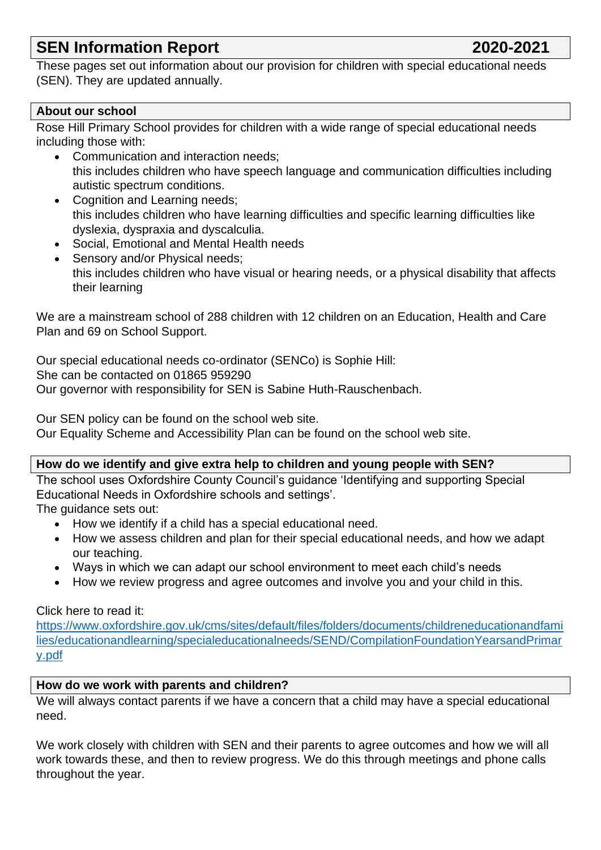# **SEN Information Report 2020-2021**

These pages set out information about our provision for children with special educational needs (SEN). They are updated annually.

# **About our school**

Rose Hill Primary School provides for children with a wide range of special educational needs including those with:

- Communication and interaction needs; this includes children who have speech language and communication difficulties including autistic spectrum conditions.
- Cognition and Learning needs; this includes children who have learning difficulties and specific learning difficulties like dyslexia, dyspraxia and dyscalculia.
- Social, Emotional and Mental Health needs
- Sensory and/or Physical needs; this includes children who have visual or hearing needs, or a physical disability that affects their learning

We are a mainstream school of 288 children with 12 children on an Education, Health and Care Plan and 69 on School Support.

Our special educational needs co-ordinator (SENCo) is Sophie Hill: She can be contacted on 01865 959290 Our governor with responsibility for SEN is Sabine Huth-Rauschenbach.

Our SEN policy can be found on the school web site.

Our Equality Scheme and Accessibility Plan can be found on the school web site.

#### **How do we identify and give extra help to children and young people with SEN?**

The school uses Oxfordshire County Council's guidance 'Identifying and supporting Special Educational Needs in Oxfordshire schools and settings'.

The quidance sets out:

- How we identify if a child has a special educational need.
- How we assess children and plan for their special educational needs, and how we adapt our teaching.
- Ways in which we can adapt our school environment to meet each child's needs
- How we review progress and agree outcomes and involve you and your child in this.

#### Click here to read it:

[https://www.oxfordshire.gov.uk/cms/sites/default/files/folders/documents/childreneducationandfami](https://www.oxfordshire.gov.uk/cms/sites/default/files/folders/documents/childreneducationandfamilies/educationandlearning/specialeducationalneeds/SEND/CompilationFoundationYearsandPrimary.pdf) [lies/educationandlearning/specialeducationalneeds/SEND/CompilationFoundationYearsandPrimar](https://www.oxfordshire.gov.uk/cms/sites/default/files/folders/documents/childreneducationandfamilies/educationandlearning/specialeducationalneeds/SEND/CompilationFoundationYearsandPrimary.pdf) [y.pdf](https://www.oxfordshire.gov.uk/cms/sites/default/files/folders/documents/childreneducationandfamilies/educationandlearning/specialeducationalneeds/SEND/CompilationFoundationYearsandPrimary.pdf)

#### **How do we work with parents and children?**

We will always contact parents if we have a concern that a child may have a special educational need.

We work closely with children with SEN and their parents to agree outcomes and how we will all work towards these, and then to review progress. We do this through meetings and phone calls throughout the year.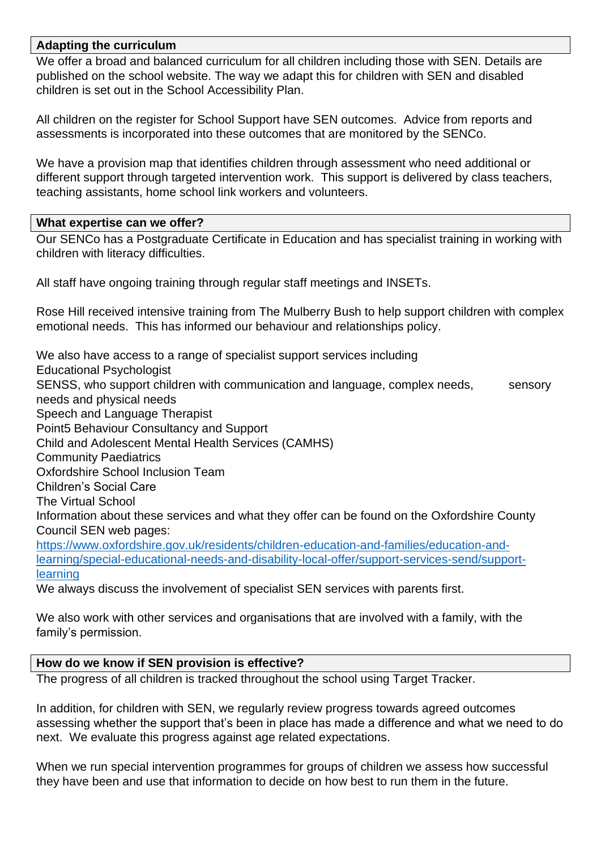## **Adapting the curriculum**

We offer a broad and balanced curriculum for all children including those with SEN. Details are published on the school website. The way we adapt this for children with SEN and disabled children is set out in the School Accessibility Plan.

All children on the register for School Support have SEN outcomes. Advice from reports and assessments is incorporated into these outcomes that are monitored by the SENCo.

We have a provision map that identifies children through assessment who need additional or different support through targeted intervention work. This support is delivered by class teachers, teaching assistants, home school link workers and volunteers.

#### **What expertise can we offer?**

Our SENCo has a Postgraduate Certificate in Education and has specialist training in working with children with literacy difficulties.

All staff have ongoing training through regular staff meetings and INSETs.

Rose Hill received intensive training from The Mulberry Bush to help support children with complex emotional needs. This has informed our behaviour and relationships policy.

We also have access to a range of specialist support services including Educational Psychologist SENSS, who support children with communication and language, complex needs, sensory needs and physical needs Speech and Language Therapist Point5 Behaviour Consultancy and Support Child and Adolescent Mental Health Services (CAMHS) Community Paediatrics Oxfordshire School Inclusion Team Children's Social Care The Virtual School Information about these services and what they offer can be found on the Oxfordshire County Council SEN web pages: [https://www.oxfordshire.gov.uk/residents/children-education-and-families/education-and](https://www.oxfordshire.gov.uk/residents/children-education-and-families/education-and-learning/special-educational-needs-and-disability-local-offer/support-services-send/support-learning)[learning/special-educational-needs-and-disability-local-offer/support-services-send/support](https://www.oxfordshire.gov.uk/residents/children-education-and-families/education-and-learning/special-educational-needs-and-disability-local-offer/support-services-send/support-learning)[learning](https://www.oxfordshire.gov.uk/residents/children-education-and-families/education-and-learning/special-educational-needs-and-disability-local-offer/support-services-send/support-learning)

We always discuss the involvement of specialist SEN services with parents first.

We also work with other services and organisations that are involved with a family, with the family's permission.

# **How do we know if SEN provision is effective?**

The progress of all children is tracked throughout the school using Target Tracker.

In addition, for children with SEN, we regularly review progress towards agreed outcomes assessing whether the support that's been in place has made a difference and what we need to do next. We evaluate this progress against age related expectations.

When we run special intervention programmes for groups of children we assess how successful they have been and use that information to decide on how best to run them in the future.